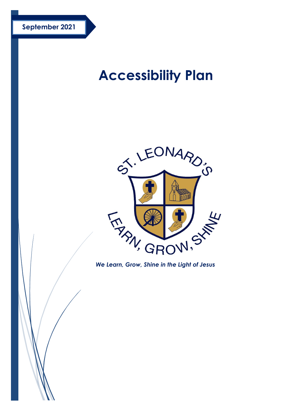# **Accessibility Plan**



*We Learn, Grow, Shine in the Light of Jesus*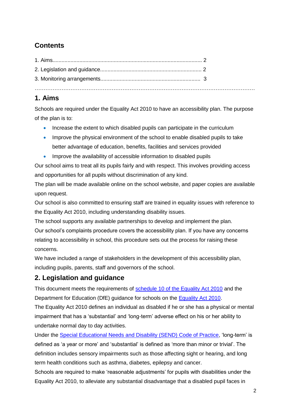# **Contents**

### **1. Aims**

Schools are required under the Equality Act 2010 to have an accessibility plan. The purpose of the plan is to:

- Increase the extent to which disabled pupils can participate in the curriculum
- Improve the physical environment of the school to enable disabled pupils to take better advantage of education, benefits, facilities and services provided
- Improve the availability of accessible information to disabled pupils

Our school aims to treat all its pupils fairly and with respect. This involves providing access and opportunities for all pupils without discrimination of any kind.

The plan will be made available online on the school website, and paper copies are available upon request.

Our school is also committed to ensuring staff are trained in equality issues with reference to the Equality Act 2010, including understanding disability issues.

The school supports any available partnerships to develop and implement the plan. Our school's complaints procedure covers the accessibility plan. If you have any concerns relating to accessibility in school, this procedure sets out the process for raising these concerns.

We have included a range of stakeholders in the development of this accessibility plan, including pupils, parents, staff and governors of the school.

#### **2. Legislation and guidance**

This document meets the requirements of [schedule 10 of the Equality Act 2010](https://www.legislation.gov.uk/ukpga/2010/15/schedule/10) and the Department for Education (DfE) guidance for schools on the [Equality Act 2010.](https://www.gov.uk/government/publications/equality-act-2010-advice-for-schools)

The Equality Act 2010 defines an individual as disabled if he or she has a physical or mental impairment that has a 'substantial' and 'long-term' adverse effect on his or her ability to undertake normal day to day activities.

Under the [Special Educational Needs and Disability \(SEND\) Code of Practice,](https://www.gov.uk/government/publications/send-code-of-practice-0-to-25) 'long-term' is defined as 'a year or more' and 'substantial' is defined as 'more than minor or trivial'. The definition includes sensory impairments such as those affecting sight or hearing, and long term health conditions such as asthma, diabetes, epilepsy and cancer.

Schools are required to make 'reasonable adjustments' for pupils with disabilities under the Equality Act 2010, to alleviate any substantial disadvantage that a disabled pupil faces in